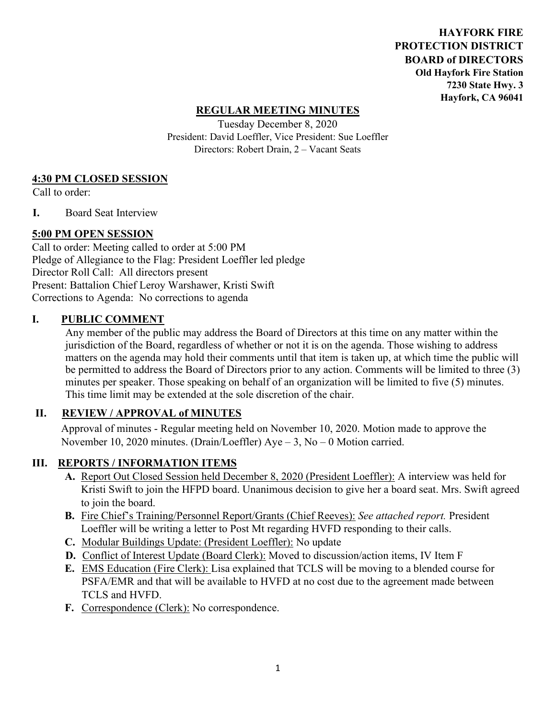**HAYFORK FIRE PROTECTION DISTRICT BOARD of DIRECTORS Old Hayfork Fire Station 7230 State Hwy. 3 Hayfork, CA 96041** 

## **REGULAR MEETING MINUTES**

Tuesday December 8, 2020 President: David Loeffler, Vice President: Sue Loeffler Directors: Robert Drain, 2 – Vacant Seats

## **4:30 PM CLOSED SESSION**

Call to order:

**I.** Board Seat Interview

## **5:00 PM OPEN SESSION**

Call to order: Meeting called to order at 5:00 PM Pledge of Allegiance to the Flag: President Loeffler led pledge Director Roll Call: All directors present Present: Battalion Chief Leroy Warshawer, Kristi Swift Corrections to Agenda: No corrections to agenda

#### **I. PUBLIC COMMENT**

Any member of the public may address the Board of Directors at this time on any matter within the jurisdiction of the Board, regardless of whether or not it is on the agenda. Those wishing to address matters on the agenda may hold their comments until that item is taken up, at which time the public will be permitted to address the Board of Directors prior to any action. Comments will be limited to three (3) minutes per speaker. Those speaking on behalf of an organization will be limited to five (5) minutes. This time limit may be extended at the sole discretion of the chair.

## **II. REVIEW / APPROVAL of MINUTES**

 Approval of minutes - Regular meeting held on November 10, 2020. Motion made to approve the November 10, 2020 minutes. (Drain/Loeffler) Aye – 3, No – 0 Motion carried.

## **III. REPORTS / INFORMATION ITEMS**

- **A.** Report Out Closed Session held December 8, 2020 (President Loeffler): A interview was held for Kristi Swift to join the HFPD board. Unanimous decision to give her a board seat. Mrs. Swift agreed to join the board.
- **B.** Fire Chief's Training/Personnel Report/Grants (Chief Reeves): *See attached report.* President Loeffler will be writing a letter to Post Mt regarding HVFD responding to their calls.
- **C.** Modular Buildings Update: (President Loeffler): No update
- **D.** Conflict of Interest Update (Board Clerk): Moved to discussion/action items, IV Item F
- **E.** EMS Education (Fire Clerk): Lisa explained that TCLS will be moving to a blended course for PSFA/EMR and that will be available to HVFD at no cost due to the agreement made between TCLS and HVFD.
- **F.** Correspondence (Clerk): No correspondence.